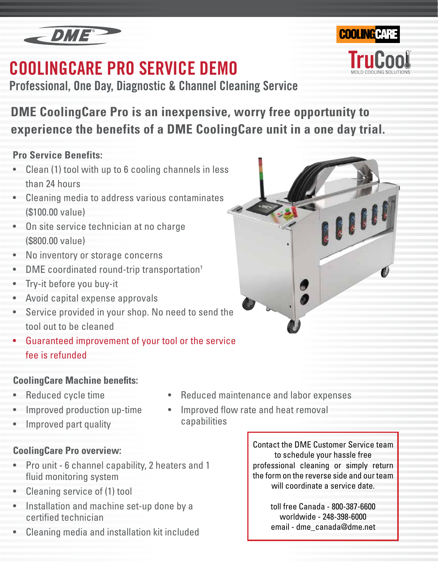

## **COOLINGCARE PRO SERVICE DEMO**

**Professional, One Day, Diagnostic & Channel Cleaning Service**

**DME CoolingCare Pro is an inexpensive, worry free opportunity to experience the benefits of a DME CoolingCare unit in a one day trial.**

### **Pro Service Benefits:**

- Clean (1) tool with up to 6 cooling channels in less than 24 hours
- Cleaning media to address various contaminates (\$100.00 value)
- On site service technician at no charge (\$800.00 value)
- No inventory or storage concerns
- DME coordinated round-trip transportation<sup>†</sup>
- Try-it before you buy-it
- Avoid capital expense approvals
- Service provided in your shop. No need to send the tool out to be cleaned
- Guaranteed improvement of your tool or the service fee is refunded

## **CoolingCare Machine benefits:**

- Reduced cycle time
- Improved production up-time
- Improved part quality
- **CoolingCare Pro overview:**
- Pro unit 6 channel capability, 2 heaters and 1 fluid monitoring system
- Cleaning service of (1) tool
- Installation and machine set-up done by a certified technician
- Cleaning media and installation kit included

Contact the DME Customer Service team to schedule your hassle free professional cleaning or simply return the form on the reverse side and our team will coordinate a service date.

> toll free Canada - 800-387-6600 worldwide - 248-398-6000 email - dme\_canada@dme.net



capabilities